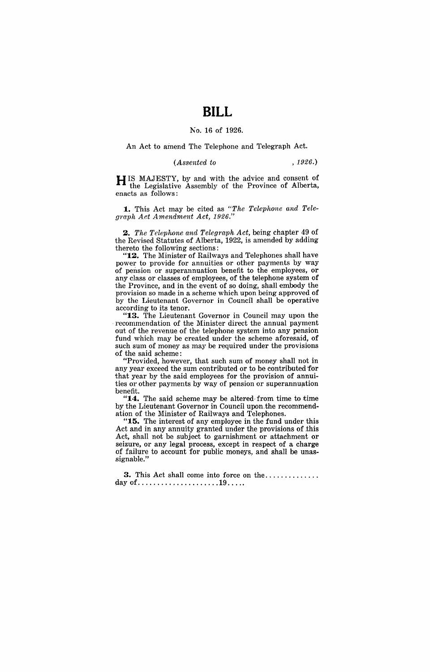## **BILL**

## Ko. 16 of 1926.

An Act to amend The Telephone and Telegraph Act.

*(Assented to* , 1926.)

HIS MAJESTY, by and with the advice and consent of the Legislative Assembly of the Province of Alberta, enacts as follows:

1. This Act may be cited as "The Telephone and Tele*graph Act Amendment Act, 1926."* 

*2. The Telephone and Telegraph Act,* being chapter 49 of the Revised Statutes of Alberta, 1922, is amended by adding thereto the following sections:

"12. The Minister of Railways and Telephones shall have power to provide for annuities or other payments by way of pension or superannuation benefit to the employees, or any class or classes of employees, of the telephone system of the Province, and in the event of so doing, shall embody the provision so made in a scheme which upon being approved of by the Lieutenant Governor in Council shall be operative according to its tenor.

"13. The Lieutenant Governor in Council may upon the recommendation of the Minister direct the annual payment out of the revenue of the telephone system into any pension fund which may be created under the scheme aforesaid, of such sum of money as may be required under the provisions of the said scheme:

"Provided, however, that such sum of money shall not in any year exceed the sum contributed or to be contributed for that year by the said employees for the provision of annuities or other payments by way of pension or superannuation benefit.

" $14.$  The said scheme may be altered-from time to time by the Lieutenant Governor in Council upon, the recommendation of the Minister of Railways and Telephones.

"15. The interest of any employee in the fund under this Act and in any annuity granted under the provisions of this Act, shall not be subject to garnishment or attachment or seizure, or any legal process, except in respect of a charge of failure to account for public moneys, and shall be unassignable."

**3.** This Act shall come into force on the .............. day of ..................... 19 .... .